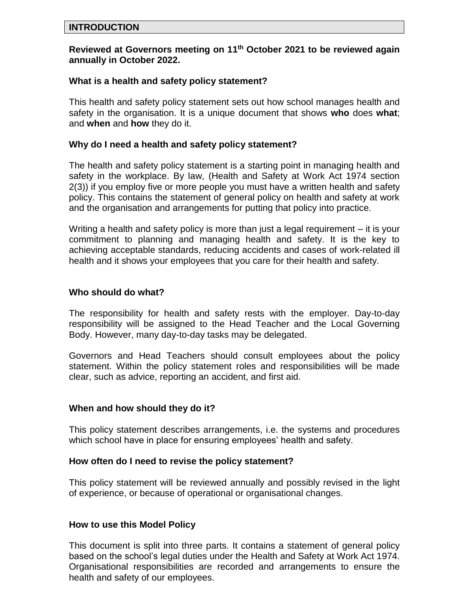#### **INTRODUCTION**

#### **Reviewed at Governors meeting on 11 th October 2021 to be reviewed again annually in October 2022.**

#### **What is a health and safety policy statement?**

This health and safety policy statement sets out how school manages health and safety in the organisation. It is a unique document that shows **who** does **what**; and **when** and **how** they do it.

#### **Why do I need a health and safety policy statement?**

The health and safety policy statement is a starting point in managing health and safety in the workplace. By law, (Health and Safety at Work Act 1974 section 2(3)) if you employ five or more people you must have a written health and safety policy. This contains the statement of general policy on health and safety at work and the organisation and arrangements for putting that policy into practice.

Writing a health and safety policy is more than just a legal requirement – it is your commitment to planning and managing health and safety. It is the key to achieving acceptable standards, reducing accidents and cases of work-related ill health and it shows your employees that you care for their health and safety.

#### **Who should do what?**

The responsibility for health and safety rests with the employer. Day-to-day responsibility will be assigned to the Head Teacher and the Local Governing Body. However, many day-to-day tasks may be delegated.

Governors and Head Teachers should consult employees about the policy statement. Within the policy statement roles and responsibilities will be made clear, such as advice, reporting an accident, and first aid.

#### **When and how should they do it?**

This policy statement describes arrangements, i.e. the systems and procedures which school have in place for ensuring employees' health and safety.

#### **How often do I need to revise the policy statement?**

This policy statement will be reviewed annually and possibly revised in the light of experience, or because of operational or organisational changes.

#### **How to use this Model Policy**

This document is split into three parts. It contains a statement of general policy based on the school's legal duties under the Health and Safety at Work Act 1974. Organisational responsibilities are recorded and arrangements to ensure the health and safety of our employees.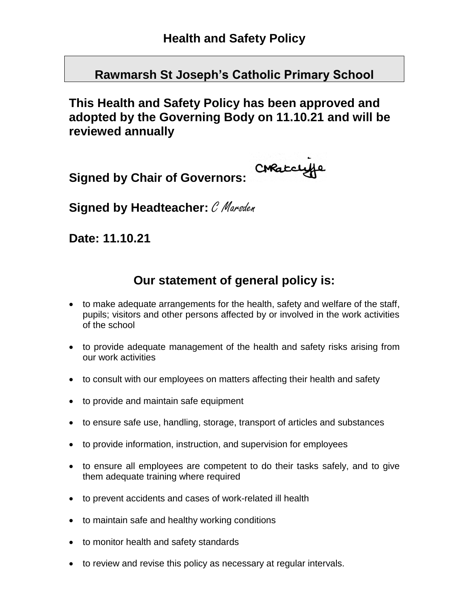**Rawmarsh St Joseph's Catholic Primary School**

**This Health and Safety Policy has been approved and adopted by the Governing Body on 11.10.21 and will be reviewed annually**

CHRatclyfe **Signed by Chair of Governors:**

**Signed by Headteacher:** C Marsden

**Date: 11.10.21**

# **Our statement of general policy is:**

- to make adequate arrangements for the health, safety and welfare of the staff, pupils; visitors and other persons affected by or involved in the work activities of the school
- to provide adequate management of the health and safety risks arising from our work activities
- to consult with our employees on matters affecting their health and safety
- to provide and maintain safe equipment
- to ensure safe use, handling, storage, transport of articles and substances
- to provide information, instruction, and supervision for employees
- to ensure all employees are competent to do their tasks safely, and to give them adequate training where required
- to prevent accidents and cases of work-related ill health
- to maintain safe and healthy working conditions
- to monitor health and safety standards
- to review and revise this policy as necessary at regular intervals.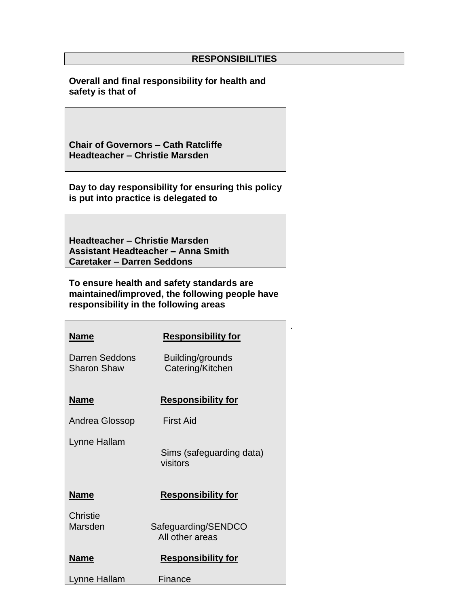.

**Overall and final responsibility for health and safety is that of**

**Chair of Governors – Cath Ratcliffe Headteacher – Christie Marsden**

**Day to day responsibility for ensuring this policy is put into practice is delegated to**

**Headteacher – Christie Marsden Assistant Headteacher – Anna Smith Caretaker – Darren Seddons**

**To ensure health and safety standards are maintained/improved, the following people have responsibility in the following areas**

| <b>Name</b>                          | <b>Responsibility for</b>              |
|--------------------------------------|----------------------------------------|
| Darren Seddons<br><b>Sharon Shaw</b> | Building/grounds<br>Catering/Kitchen   |
| <u>Name</u>                          | <b>Responsibility for</b>              |
| Andrea Glossop                       | First Aid                              |
| Lynne Hallam                         | Sims (safeguarding data)<br>visitors   |
| <b>Name</b>                          | <b>Responsibility for</b>              |
| Christie<br>Marsden                  | Safeguarding/SENDCO<br>All other areas |
| <b>Name</b>                          | <b>Responsibility for</b>              |
| Lynne Hallam                         | Finance                                |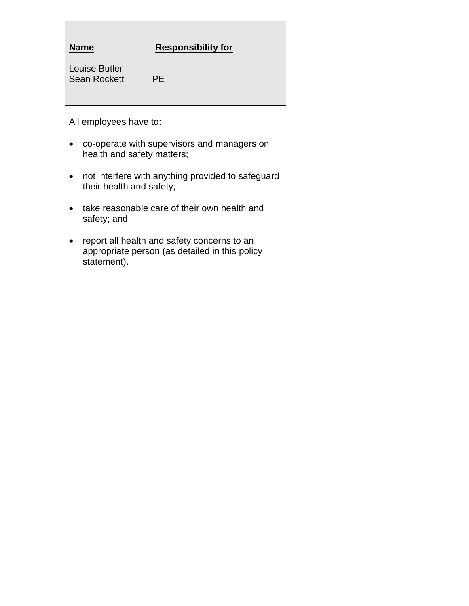| <b>Name</b>                                 | <b>Responsibility for</b> |
|---------------------------------------------|---------------------------|
| <b>Louise Butler</b><br><b>Sean Rockett</b> | <b>PF</b>                 |

All employees have to:

- co-operate with supervisors and managers on health and safety matters;
- not interfere with anything provided to safeguard their health and safety;
- take reasonable care of their own health and safety; and
- report all health and safety concerns to an appropriate person (as detailed in this policy statement).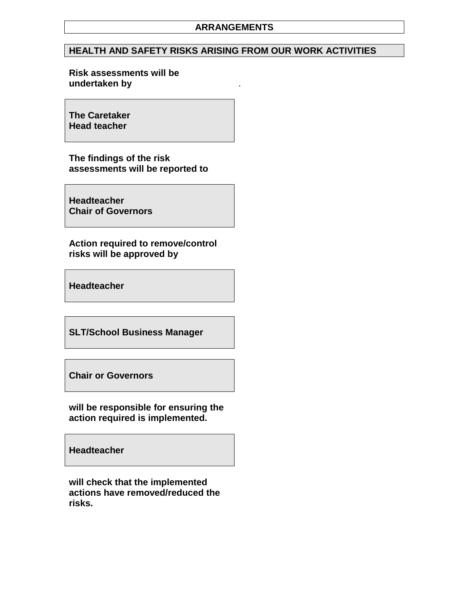#### **HEALTH AND SAFETY RISKS ARISING FROM OUR WORK ACTIVITIES**

#### **Risk assessments will be undertaken by** .

**The Caretaker Head teacher**

**The findings of the risk assessments will be reported to**

**Headteacher Chair of Governors**

**Action required to remove/control risks will be approved by**

**Headteacher**

**SLT/School Business Manager**

**Chair or Governors**

**will be responsible for ensuring the action required is implemented.**

**Headteacher**

**will check that the implemented actions have removed/reduced the risks.**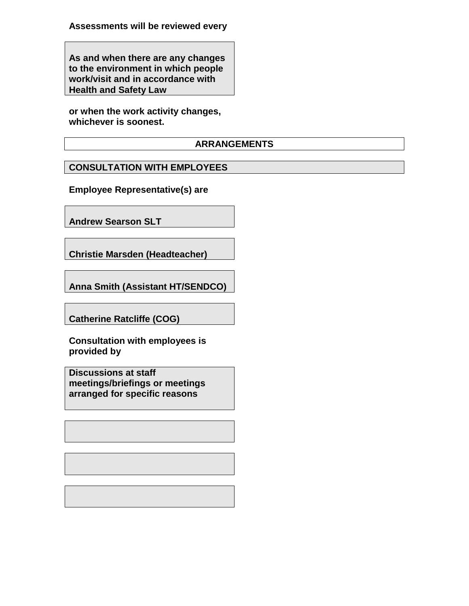**Assessments will be reviewed every**

**As and when there are any changes to the environment in which people work/visit and in accordance with Health and Safety Law**

**or when the work activity changes, whichever is soonest.**

#### **ARRANGEMENTS**

# **CONSULTATION WITH EMPLOYEES**

**Employee Representative(s) are**

**Andrew Searson SLT**

**Christie Marsden (Headteacher)**

**Anna Smith (Assistant HT/SENDCO)**

**Catherine Ratcliffe (COG)**

**Consultation with employees is provided by**

**Discussions at staff meetings/briefings or meetings arranged for specific reasons**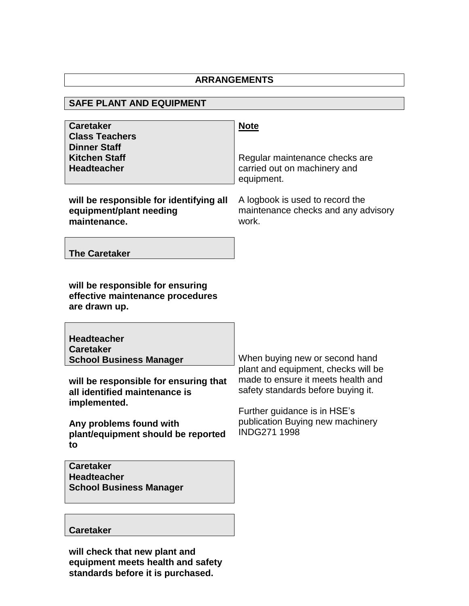#### **SAFE PLANT AND EQUIPMENT Caretaker Class Teachers Dinner Staff Kitchen Staff Headteacher Note** Regular maintenance checks are carried out on machinery and equipment. A logbook is used to record the maintenance checks and any advisory work. When buying new or second hand plant and equipment, checks will be made to ensure it meets health and safety standards before buying it. Further guidance is in HSE's publication Buying new machinery INDG271 1998 **will be responsible for identifying all equipment/plant needing maintenance. The Caretaker will be responsible for ensuring effective maintenance procedures are drawn up. Headteacher Caretaker School Business Manager will be responsible for ensuring that all identified maintenance is implemented. Any problems found with plant/equipment should be reported to Caretaker**

**Caretaker**

**Headteacher**

**School Business Manager**

**will check that new plant and equipment meets health and safety standards before it is purchased.**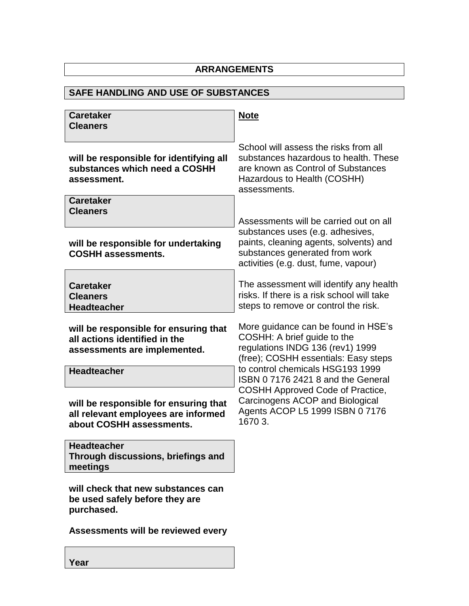# **SAFE HANDLING AND USE OF SUBSTANCES**

| <b>Caretaker</b><br><b>Cleaners</b>                                                                      | <b>Note</b>                                                                                                                                                         |
|----------------------------------------------------------------------------------------------------------|---------------------------------------------------------------------------------------------------------------------------------------------------------------------|
| will be responsible for identifying all<br>substances which need a COSHH<br>assessment.                  | School will assess the risks from all<br>substances hazardous to health. These<br>are known as Control of Substances<br>Hazardous to Health (COSHH)<br>assessments. |
| <b>Caretaker</b><br><b>Cleaners</b>                                                                      | Assessments will be carried out on all                                                                                                                              |
| will be responsible for undertaking<br><b>COSHH assessments.</b>                                         | substances uses (e.g. adhesives,<br>paints, cleaning agents, solvents) and<br>substances generated from work<br>activities (e.g. dust, fume, vapour)                |
| <b>Caretaker</b><br><b>Cleaners</b><br><b>Headteacher</b>                                                | The assessment will identify any health<br>risks. If there is a risk school will take<br>steps to remove or control the risk.                                       |
| will be responsible for ensuring that<br>all actions identified in the<br>assessments are implemented.   | More guidance can be found in HSE's<br>COSHH: A brief guide to the<br>regulations INDG 136 (rev1) 1999<br>(free); COSHH essentials: Easy steps                      |
| <b>Headteacher</b>                                                                                       | to control chemicals HSG193 1999<br>ISBN 0717624218 and the General                                                                                                 |
| will be responsible for ensuring that<br>all relevant employees are informed<br>about COSHH assessments. | COSHH Approved Code of Practice,<br>Carcinogens ACOP and Biological<br>Agents ACOP L5 1999 ISBN 0 7176<br>1670 3.                                                   |
| <b>Headteacher</b><br>Through discussions, briefings and<br>meetings                                     |                                                                                                                                                                     |
| will check that new substances can<br>be used safely before they are<br>purchased.                       |                                                                                                                                                                     |
| Assessments will be reviewed every                                                                       |                                                                                                                                                                     |

**Year**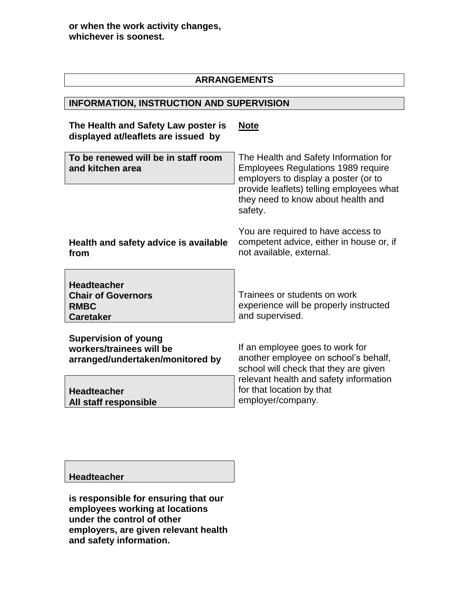### **INFORMATION, INSTRUCTION AND SUPERVISION**

#### **The Health and Safety Law poster is displayed at/leaflets are issued by Note**

| To be renewed will be in staff room<br>and kitchen area                                     | The Health and Safety Information for<br><b>Employees Regulations 1989 require</b><br>employers to display a poster (or to |
|---------------------------------------------------------------------------------------------|----------------------------------------------------------------------------------------------------------------------------|
|                                                                                             | provide leaflets) telling employees what<br>they need to know about health and<br>safety.                                  |
| Health and safety advice is available<br>from                                               | You are required to have access to<br>competent advice, either in house or, if<br>not available, external.                 |
| <b>Headteacher</b><br><b>Chair of Governors</b><br><b>RMBC</b><br><b>Caretaker</b>          | Trainees or students on work<br>experience will be properly instructed<br>and supervised.                                  |
| <b>Supervision of young</b><br>workers/trainees will be<br>arranged/undertaken/monitored by | If an employee goes to work for<br>another employee on school's behalf,<br>school will check that they are given           |
| <b>Headteacher</b>                                                                          | relevant health and safety information<br>for that location by that                                                        |

employer/company.

#### **Headteacher**

**All staff responsible**

**is responsible for ensuring that our employees working at locations under the control of other employers, are given relevant health and safety information.**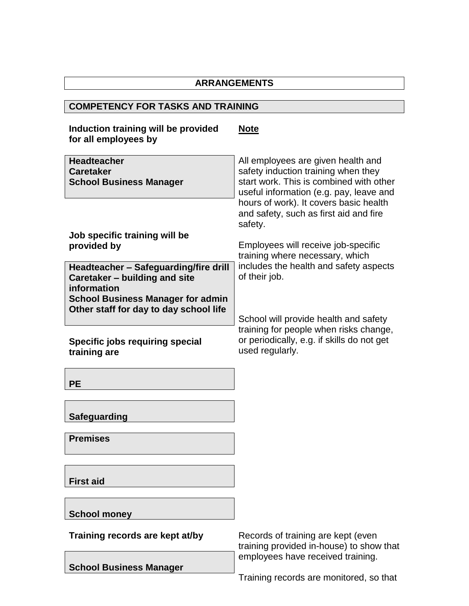# **COMPETENCY FOR TASKS AND TRAINING**

| Induction training will be provided<br>for all employees by                           | <u>Note</u>                                                                                                                                                                                                                                                    |
|---------------------------------------------------------------------------------------|----------------------------------------------------------------------------------------------------------------------------------------------------------------------------------------------------------------------------------------------------------------|
| <b>Headteacher</b><br><b>Caretaker</b><br><b>School Business Manager</b>              | All employees are given health and<br>safety induction training when they<br>start work. This is combined with other<br>useful information (e.g. pay, leave and<br>hours of work). It covers basic health<br>and safety, such as first aid and fire<br>safety. |
| Job specific training will be<br>provided by                                          | Employees will receive job-specific<br>training where necessary, which                                                                                                                                                                                         |
| Headteacher - Safeguarding/fire drill<br>Caretaker - building and site<br>information | includes the health and safety aspects<br>of their job.                                                                                                                                                                                                        |
| <b>School Business Manager for admin</b><br>Other staff for day to day school life    | School will provide health and safety<br>training for people when risks change,                                                                                                                                                                                |
| Specific jobs requiring special<br>training are                                       | or periodically, e.g. if skills do not get<br>used regularly.                                                                                                                                                                                                  |
| <b>PE</b>                                                                             |                                                                                                                                                                                                                                                                |
| <b>Safeguarding</b>                                                                   |                                                                                                                                                                                                                                                                |
| <b>Premises</b>                                                                       |                                                                                                                                                                                                                                                                |
| <b>First aid</b>                                                                      |                                                                                                                                                                                                                                                                |
| <b>School money</b>                                                                   |                                                                                                                                                                                                                                                                |
| Training records are kept at/by                                                       | Records of training are kept (even<br>training provided in-house) to show that                                                                                                                                                                                 |
| <b>School Business Manager</b>                                                        | employees have received training.                                                                                                                                                                                                                              |

Training records are monitored, so that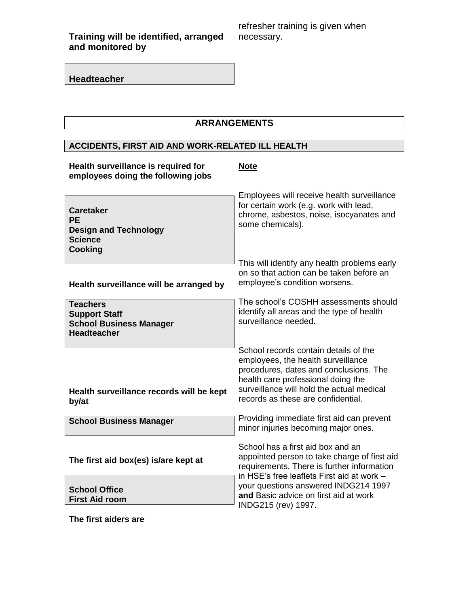**Training will be identified, arranged and monitored by**

refresher training is given when necessary.

**Headteacher**

# **ARRANGEMENTS**

# **ACCIDENTS, FIRST AID AND WORK-RELATED ILL HEALTH**

| Health surveillance is required for<br>employees doing the following jobs                         | <b>Note</b>                                                                                                                                                                                                                                    |
|---------------------------------------------------------------------------------------------------|------------------------------------------------------------------------------------------------------------------------------------------------------------------------------------------------------------------------------------------------|
| <b>Caretaker</b><br><b>PE</b><br><b>Design and Technology</b><br><b>Science</b><br><b>Cooking</b> | Employees will receive health surveillance<br>for certain work (e.g. work with lead,<br>chrome, asbestos, noise, isocyanates and<br>some chemicals).                                                                                           |
| Health surveillance will be arranged by                                                           | This will identify any health problems early<br>on so that action can be taken before an<br>employee's condition worsens.                                                                                                                      |
| <b>Teachers</b><br><b>Support Staff</b><br><b>School Business Manager</b><br><b>Headteacher</b>   | The school's COSHH assessments should<br>identify all areas and the type of health<br>surveillance needed.                                                                                                                                     |
| Health surveillance records will be kept<br>by/at                                                 | School records contain details of the<br>employees, the health surveillance<br>procedures, dates and conclusions. The<br>health care professional doing the<br>surveillance will hold the actual medical<br>records as these are confidential. |
| <b>School Business Manager</b>                                                                    | Providing immediate first aid can prevent<br>minor injuries becoming major ones.                                                                                                                                                               |
| The first aid box(es) is/are kept at                                                              | School has a first aid box and an<br>appointed person to take charge of first aid<br>requirements. There is further information<br>in HSE's free leaflets First aid at work -                                                                  |
| <b>School Office</b><br><b>First Aid room</b>                                                     | your questions answered INDG214 1997<br>and Basic advice on first aid at work<br>INDG215 (rev) 1997.                                                                                                                                           |

**The first aiders are**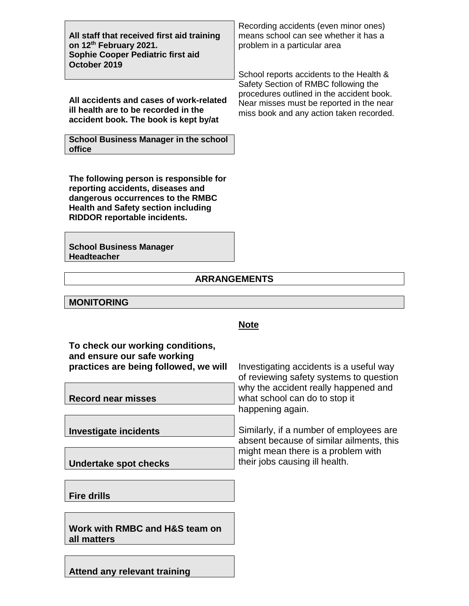| All staff that received first aid training<br>on 12 <sup>th</sup> February 2021.<br>Sophie Cooper Pediatric first aid |
|-----------------------------------------------------------------------------------------------------------------------|
| October 2019                                                                                                          |

**All accidents and cases of work-related ill health are to be recorded in the accident book. The book is kept by/at**

**School Business Manager in the school office**

**The following person is responsible for reporting accidents, diseases and dangerous occurrences to the RMBC Health and Safety section including RIDDOR reportable incidents.**

**School Business Manager Headteacher**

**MONITORING**

## **ARRANGEMENTS**

|                                                                                                          | <b>Note</b>                                                                               |
|----------------------------------------------------------------------------------------------------------|-------------------------------------------------------------------------------------------|
| To check our working conditions,<br>and ensure our safe working<br>practices are being followed, we will | Investigating accidents is a useful way<br>of reviewing safety systems to question        |
| <b>Record near misses</b>                                                                                | why the accident really happened and<br>what school can do to stop it<br>happening again. |
| <b>Investigate incidents</b>                                                                             | Similarly, if a number of employees are<br>absent because of similar ailments, this       |
| Undertake spot checks                                                                                    | might mean there is a problem with<br>their jobs causing ill health.                      |
| <b>Fire drills</b>                                                                                       |                                                                                           |
|                                                                                                          |                                                                                           |

**Work with RMBC and H&S team on all matters**

**Attend any relevant training**

Recording accidents (even minor ones) means school can see whether it has a problem in a particular area

School reports accidents to the Health & Safety Section of RMBC following the procedures outlined in the accident book. Near misses must be reported in the near miss book and any action taken recorded.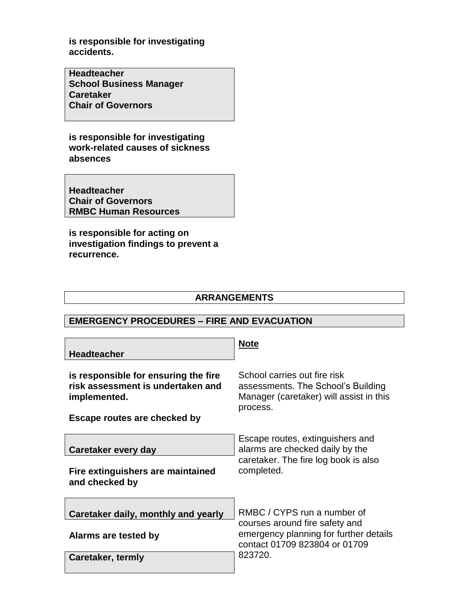**is responsible for investigating accidents.**

**Headteacher School Business Manager Caretaker Chair of Governors**

**is responsible for investigating work-related causes of sickness absences**

**Headteacher Chair of Governors RMBC Human Resources**

**is responsible for acting on investigation findings to prevent a recurrence.**

#### **ARRANGEMENTS**

#### **EMERGENCY PROCEDURES – FIRE AND EVACUATION**

| <b>Headteacher</b>                                                                                                        | <b>Note</b>                                                                                                                                         |
|---------------------------------------------------------------------------------------------------------------------------|-----------------------------------------------------------------------------------------------------------------------------------------------------|
| is responsible for ensuring the fire<br>risk assessment is undertaken and<br>implemented.<br>Escape routes are checked by | School carries out fire risk<br>assessments. The School's Building<br>Manager (caretaker) will assist in this<br>process.                           |
| Caretaker every day<br>Fire extinguishers are maintained<br>and checked by                                                | Escape routes, extinguishers and<br>alarms are checked daily by the<br>caretaker. The fire log book is also<br>completed.                           |
| Caretaker daily, monthly and yearly<br>Alarms are tested by<br>Caretaker, termly                                          | RMBC / CYPS run a number of<br>courses around fire safety and<br>emergency planning for further details<br>contact 01709 823804 or 01709<br>823720. |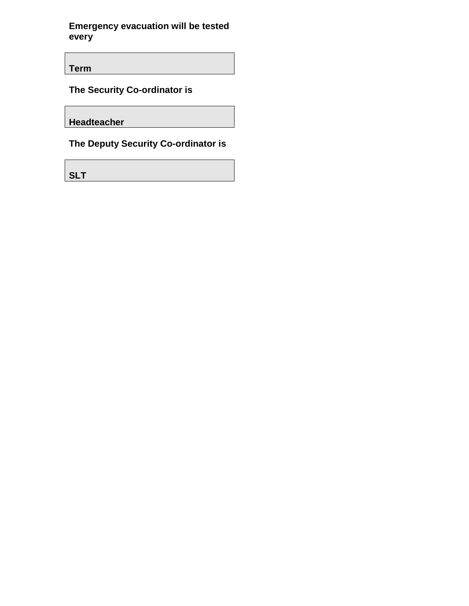**Emergency evacuation will be tested every**

**Term**

**The Security Co-ordinator is**

**Headteacher**

**The Deputy Security Co-ordinator is** 

**SLT**